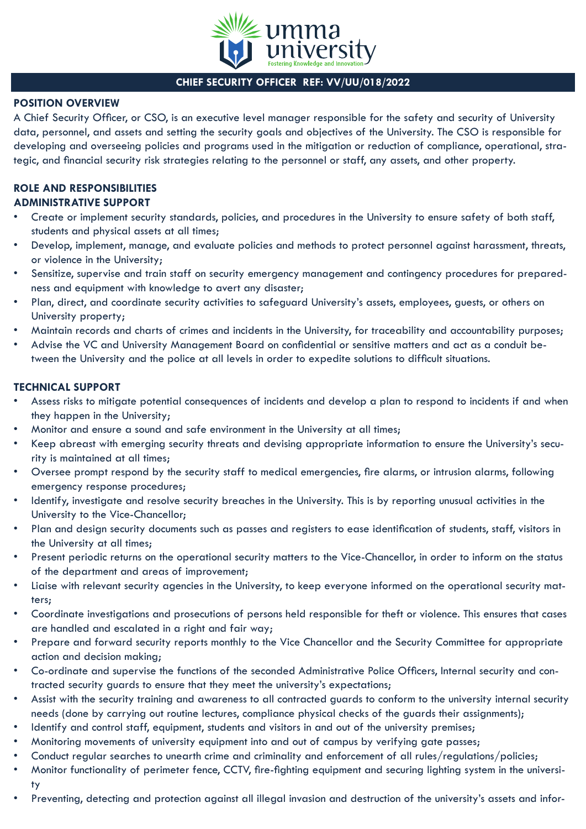

# **CHIEF SECURITY OFFICER REF: VV/UU/018/2022**

## **POSITION OVERVIEW**

A Chief Security Officer, or CSO, is an executive level manager responsible for the safety and security of University data, personnel, and assets and setting the security goals and objectives of the University. The CSO is responsible for developing and overseeing policies and programs used in the mitigation or reduction of compliance, operational, strategic, and financial security risk strategies relating to the personnel or staff, any assets, and other property.

### **ROLE AND RESPONSIBILITIES ADMINISTRATIVE SUPPORT**

- Create or implement security standards, policies, and procedures in the University to ensure safety of both staff, students and physical assets at all times;
- Develop, implement, manage, and evaluate policies and methods to protect personnel against harassment, threats, or violence in the University;
- Sensitize, supervise and train staff on security emergency management and contingency procedures for preparedness and equipment with knowledge to avert any disaster;
- Plan, direct, and coordinate security activities to safeguard University's assets, employees, guests, or others on University property;
- Maintain records and charts of crimes and incidents in the University, for traceability and accountability purposes;
- Advise the VC and University Management Board on confidential or sensitive matters and act as a conduit between the University and the police at all levels in order to expedite solutions to difficult situations.

## **TECHNICAL SUPPORT**

- Assess risks to mitigate potential consequences of incidents and develop a plan to respond to incidents if and when they happen in the University;
- Monitor and ensure a sound and safe environment in the University at all times;
- Keep abreast with emerging security threats and devising appropriate information to ensure the University's security is maintained at all times;
- Oversee prompt respond by the security staff to medical emergencies, fire alarms, or intrusion alarms, following emergency response procedures;
- Identify, investigate and resolve security breaches in the University. This is by reporting unusual activities in the University to the Vice-Chancellor;
- Plan and design security documents such as passes and registers to ease identification of students, staff, visitors in the University at all times;
- Present periodic returns on the operational security matters to the Vice-Chancellor, in order to inform on the status of the department and areas of improvement;
- Liaise with relevant security agencies in the University, to keep everyone informed on the operational security matters;
- Coordinate investigations and prosecutions of persons held responsible for theft or violence. This ensures that cases are handled and escalated in a right and fair way;
- Prepare and forward security reports monthly to the Vice Chancellor and the Security Committee for appropriate action and decision making;
- Co-ordinate and supervise the functions of the seconded Administrative Police Officers, Internal security and contracted security guards to ensure that they meet the university's expectations;
- Assist with the security training and awareness to all contracted guards to conform to the university internal security needs (done by carrying out routine lectures, compliance physical checks of the guards their assignments);
- Identify and control staff, equipment, students and visitors in and out of the university premises;
- Monitoring movements of university equipment into and out of campus by verifying gate passes;
- Conduct regular searches to unearth crime and criminality and enforcement of all rules/regulations/policies;
- Monitor functionality of perimeter fence, CCTV, fire-fighting equipment and securing lighting system in the university
- Preventing, detecting and protection against all illegal invasion and destruction of the university's assets and infor-